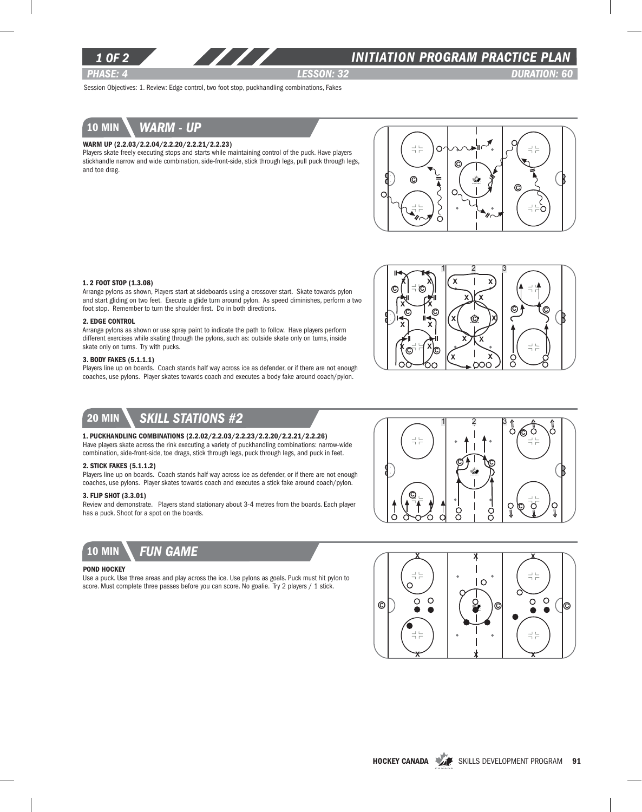

### *INITIATION program PRACTICE PLAN*

*PHASE: 4 lesson: 32 DURATION: 60* 

Session Objectives: 1. Review: Edge control, two foot stop, puckhandling combinations, Fakes



#### Warm up (2.2.03/2.2.04/2.2.20/2.2.21/2.2.23)

Players skate freely executing stops and starts while maintaining control of the puck. Have players stickhandle narrow and wide combination, side-front-side, stick through legs, pull puck through legs, and toe drag.



#### 1. 2 Foot Stop (1.3.08)

Arrange pylons as shown, Players start at sideboards using a crossover start. Skate towards pylon and start gliding on two feet. Execute a glide turn around pylon. As speed diminishes, perform a two foot stop. Remember to turn the shoulder first. Do in both directions.

#### 2. Edge Control

Arrange pylons as shown or use spray paint to indicate the path to follow. Have players perform different exercises while skating through the pylons, such as: outside skate only on turns, inside skate only on turns. Try with pucks.

#### 3. Body Fakes (5.1.1.1)

Players line up on boards. Coach stands half way across ice as defender, or if there are not enough coaches, use pylons. Player skates towards coach and executes a body fake around coach/pylon.



### 20 min *Skill stations #2*

#### 1. Puckhandling combinations (2.2.02/2.2.03/2.2.23/2.2.20/2.2.21/2.2.26)

Have players skate across the rink executing a variety of puckhandling combinations: narrow-wide combination, side-front-side, toe drags, stick through legs, puck through legs, and puck in feet.

#### 2. Stick Fakes (5.1.1.2)

Players line up on boards. Coach stands half way across ice as defender, or if there are not enough coaches, use pylons. Player skates towards coach and executes a stick fake around coach/pylon.

#### 3. Flip Shot (3.3.01)

Review and demonstrate. Players stand stationary about 3-4 metres from the boards. Each player has a puck. Shoot for a spot on the boards.



### POND HOCKEY

Use a puck. Use three areas and play across the ice. Use pylons as goals. Puck must hit pylon to score. Must complete three passes before you can score. No goalie. Try 2 players / 1 stick.



 $1 \quad 2 \quad 3$ 

 $\frac{1}{2}$  $\frac{1}{2}$ 

ඬ

Ő

O

Ö